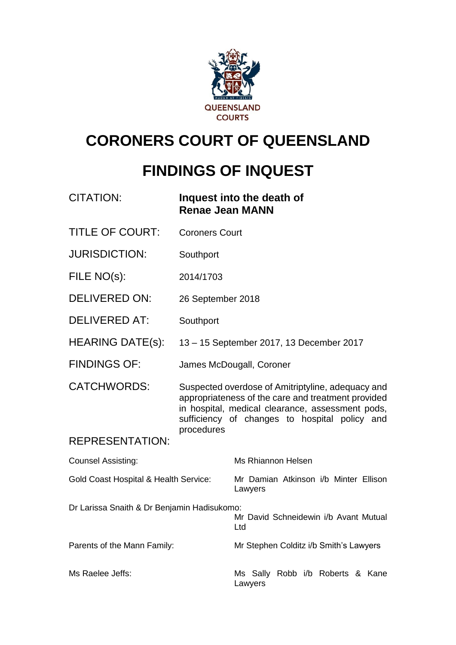

# **CORONERS COURT OF QUEENSLAND**

# **FINDINGS OF INQUEST**

| <b>CITATION:</b>                                 | <b>Renae Jean MANN</b> | Inquest into the death of                                                                                                                                                                                    |
|--------------------------------------------------|------------------------|--------------------------------------------------------------------------------------------------------------------------------------------------------------------------------------------------------------|
| <b>TITLE OF COURT:</b>                           | <b>Coroners Court</b>  |                                                                                                                                                                                                              |
| <b>JURISDICTION:</b>                             | Southport              |                                                                                                                                                                                                              |
| FILE NO(s):                                      | 2014/1703              |                                                                                                                                                                                                              |
| <b>DELIVERED ON:</b>                             | 26 September 2018      |                                                                                                                                                                                                              |
| <b>DELIVERED AT:</b>                             | Southport              |                                                                                                                                                                                                              |
| <b>HEARING DATE(s):</b>                          |                        | 13 - 15 September 2017, 13 December 2017                                                                                                                                                                     |
| <b>FINDINGS OF:</b>                              |                        | James McDougall, Coroner                                                                                                                                                                                     |
| <b>CATCHWORDS:</b>                               | procedures             | Suspected overdose of Amitriptyline, adequacy and<br>appropriateness of the care and treatment provided<br>in hospital, medical clearance, assessment pods,<br>sufficiency of changes to hospital policy and |
| <b>REPRESENTATION:</b>                           |                        |                                                                                                                                                                                                              |
| <b>Counsel Assisting:</b>                        |                        | <b>Ms Rhiannon Helsen</b>                                                                                                                                                                                    |
| <b>Gold Coast Hospital &amp; Health Service:</b> |                        | Mr Damian Atkinson i/b Minter Ellison<br>Lawyers                                                                                                                                                             |
| Dr Larissa Snaith & Dr Benjamin Hadisukomo:      |                        | Mr David Schneidewin i/b Avant Mutual<br>Ltd                                                                                                                                                                 |
| Parents of the Mann Family:                      |                        | Mr Stephen Colditz i/b Smith's Lawyers                                                                                                                                                                       |
| Ms Raelee Jeffs:                                 |                        | Ms Sally Robb i/b Roberts & Kane<br>Lawyers                                                                                                                                                                  |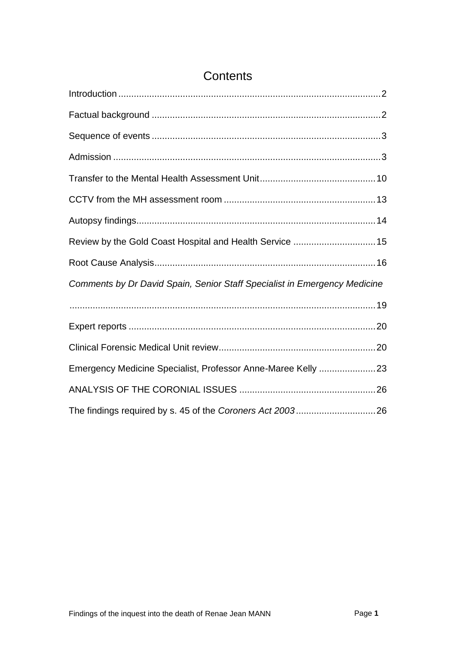| Review by the Gold Coast Hospital and Health Service  15                  |  |
|---------------------------------------------------------------------------|--|
|                                                                           |  |
| Comments by Dr David Spain, Senior Staff Specialist in Emergency Medicine |  |
|                                                                           |  |
|                                                                           |  |
|                                                                           |  |
| Emergency Medicine Specialist, Professor Anne-Maree Kelly 23              |  |
|                                                                           |  |
|                                                                           |  |

# **Contents**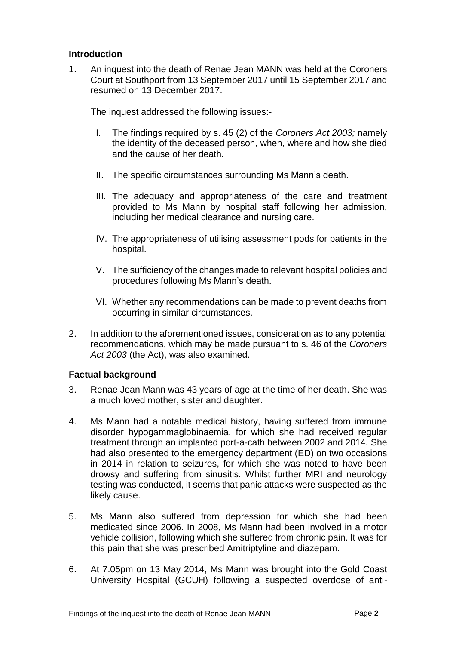# <span id="page-2-0"></span>**Introduction**

1. An inquest into the death of Renae Jean MANN was held at the Coroners Court at Southport from 13 September 2017 until 15 September 2017 and resumed on 13 December 2017.

The inquest addressed the following issues:-

- I. The findings required by s. 45 (2) of the *Coroners Act 2003;* namely the identity of the deceased person, when, where and how she died and the cause of her death.
- II. The specific circumstances surrounding Ms Mann's death.
- III. The adequacy and appropriateness of the care and treatment provided to Ms Mann by hospital staff following her admission, including her medical clearance and nursing care.
- IV. The appropriateness of utilising assessment pods for patients in the hospital.
- V. The sufficiency of the changes made to relevant hospital policies and procedures following Ms Mann's death.
- VI. Whether any recommendations can be made to prevent deaths from occurring in similar circumstances.
- 2. In addition to the aforementioned issues, consideration as to any potential recommendations, which may be made pursuant to s. 46 of the *Coroners Act 2003* (the Act), was also examined.

# <span id="page-2-1"></span>**Factual background**

- 3. Renae Jean Mann was 43 years of age at the time of her death. She was a much loved mother, sister and daughter.
- 4. Ms Mann had a notable medical history, having suffered from immune disorder hypogammaglobinaemia, for which she had received regular treatment through an implanted port-a-cath between 2002 and 2014. She had also presented to the emergency department (ED) on two occasions in 2014 in relation to seizures, for which she was noted to have been drowsy and suffering from sinusitis. Whilst further MRI and neurology testing was conducted, it seems that panic attacks were suspected as the likely cause.
- 5. Ms Mann also suffered from depression for which she had been medicated since 2006. In 2008, Ms Mann had been involved in a motor vehicle collision, following which she suffered from chronic pain. It was for this pain that she was prescribed Amitriptyline and diazepam.
- 6. At 7.05pm on 13 May 2014, Ms Mann was brought into the Gold Coast University Hospital (GCUH) following a suspected overdose of anti-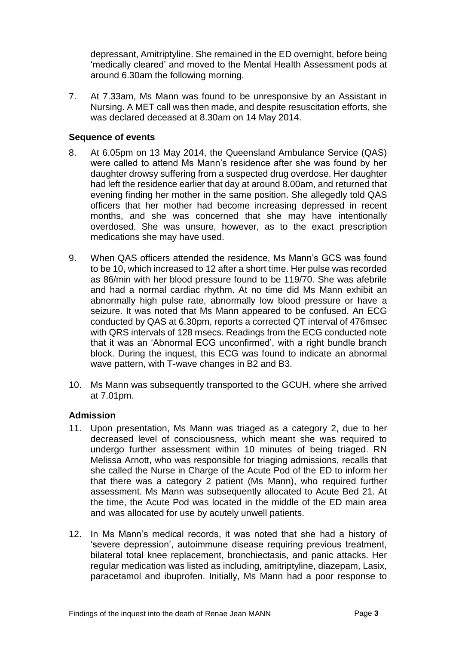depressant, Amitriptyline. She remained in the ED overnight, before being 'medically cleared' and moved to the Mental Health Assessment pods at around 6.30am the following morning.

7. At 7.33am, Ms Mann was found to be unresponsive by an Assistant in Nursing. A MET call was then made, and despite resuscitation efforts, she was declared deceased at 8.30am on 14 May 2014.

#### <span id="page-3-0"></span>**Sequence of events**

- 8. At 6.05pm on 13 May 2014, the Queensland Ambulance Service (QAS) were called to attend Ms Mann's residence after she was found by her daughter drowsy suffering from a suspected drug overdose. Her daughter had left the residence earlier that day at around 8.00am, and returned that evening finding her mother in the same position. She allegedly told QAS officers that her mother had become increasing depressed in recent months, and she was concerned that she may have intentionally overdosed. She was unsure, however, as to the exact prescription medications she may have used.
- 9. When QAS officers attended the residence, Ms Mann's GCS was found to be 10, which increased to 12 after a short time. Her pulse was recorded as 86/min with her blood pressure found to be 119/70. She was afebrile and had a normal cardiac rhythm. At no time did Ms Mann exhibit an abnormally high pulse rate, abnormally low blood pressure or have a seizure. It was noted that Ms Mann appeared to be confused. An ECG conducted by QAS at 6.30pm, reports a corrected QT interval of 476msec with QRS intervals of 128 msecs. Readings from the ECG conducted note that it was an 'Abnormal ECG unconfirmed', with a right bundle branch block. During the inquest, this ECG was found to indicate an abnormal wave pattern, with T-wave changes in B2 and B3.
- 10. Ms Mann was subsequently transported to the GCUH, where she arrived at 7.01pm.

# <span id="page-3-1"></span>**Admission**

- 11. Upon presentation, Ms Mann was triaged as a category 2, due to her decreased level of consciousness, which meant she was required to undergo further assessment within 10 minutes of being triaged. RN Melissa Arnott, who was responsible for triaging admissions, recalls that she called the Nurse in Charge of the Acute Pod of the ED to inform her that there was a category 2 patient (Ms Mann), who required further assessment. Ms Mann was subsequently allocated to Acute Bed 21. At the time, the Acute Pod was located in the middle of the ED main area and was allocated for use by acutely unwell patients.
- 12. In Ms Mann's medical records, it was noted that she had a history of 'severe depression', autoimmune disease requiring previous treatment, bilateral total knee replacement, bronchiectasis, and panic attacks. Her regular medication was listed as including, amitriptyline, diazepam, Lasix, paracetamol and ibuprofen. Initially, Ms Mann had a poor response to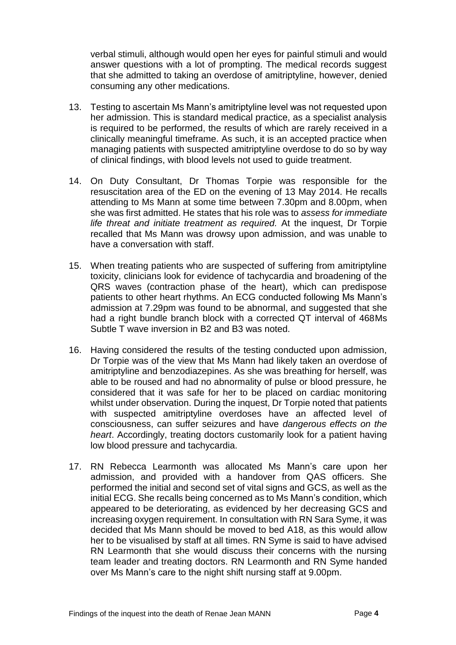verbal stimuli, although would open her eyes for painful stimuli and would answer questions with a lot of prompting. The medical records suggest that she admitted to taking an overdose of amitriptyline, however, denied consuming any other medications.

- 13. Testing to ascertain Ms Mann's amitriptyline level was not requested upon her admission. This is standard medical practice, as a specialist analysis is required to be performed, the results of which are rarely received in a clinically meaningful timeframe. As such, it is an accepted practice when managing patients with suspected amitriptyline overdose to do so by way of clinical findings, with blood levels not used to guide treatment.
- 14. On Duty Consultant, Dr Thomas Torpie was responsible for the resuscitation area of the ED on the evening of 13 May 2014. He recalls attending to Ms Mann at some time between 7.30pm and 8.00pm, when she was first admitted. He states that his role was to *assess for immediate life threat and initiate treatment as required.* At the inquest, Dr Torpie recalled that Ms Mann was drowsy upon admission, and was unable to have a conversation with staff.
- 15. When treating patients who are suspected of suffering from amitriptyline toxicity, clinicians look for evidence of tachycardia and broadening of the QRS waves (contraction phase of the heart), which can predispose patients to other heart rhythms. An ECG conducted following Ms Mann's admission at 7.29pm was found to be abnormal, and suggested that she had a right bundle branch block with a corrected QT interval of 468Ms Subtle T wave inversion in B2 and B3 was noted.
- 16. Having considered the results of the testing conducted upon admission, Dr Torpie was of the view that Ms Mann had likely taken an overdose of amitriptyline and benzodiazepines. As she was breathing for herself, was able to be roused and had no abnormality of pulse or blood pressure, he considered that it was safe for her to be placed on cardiac monitoring whilst under observation. During the inquest, Dr Torpie noted that patients with suspected amitriptyline overdoses have an affected level of consciousness, can suffer seizures and have *dangerous effects on the heart*. Accordingly, treating doctors customarily look for a patient having low blood pressure and tachycardia.
- 17. RN Rebecca Learmonth was allocated Ms Mann's care upon her admission, and provided with a handover from QAS officers. She performed the initial and second set of vital signs and GCS, as well as the initial ECG. She recalls being concerned as to Ms Mann's condition, which appeared to be deteriorating, as evidenced by her decreasing GCS and increasing oxygen requirement. In consultation with RN Sara Syme, it was decided that Ms Mann should be moved to bed A18, as this would allow her to be visualised by staff at all times. RN Syme is said to have advised RN Learmonth that she would discuss their concerns with the nursing team leader and treating doctors. RN Learmonth and RN Syme handed over Ms Mann's care to the night shift nursing staff at 9.00pm.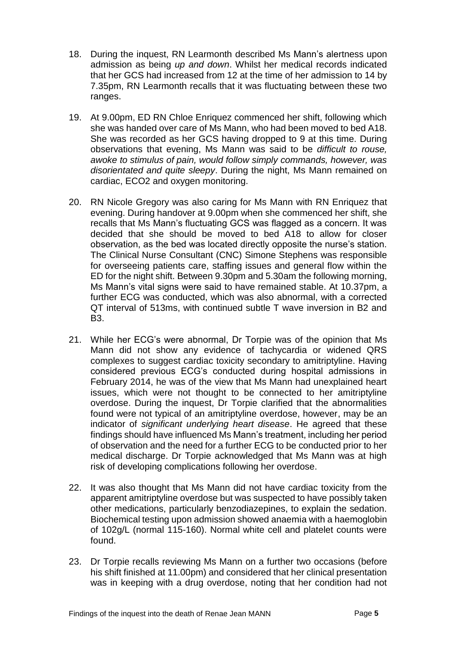- 18. During the inquest, RN Learmonth described Ms Mann's alertness upon admission as being *up and down*. Whilst her medical records indicated that her GCS had increased from 12 at the time of her admission to 14 by 7.35pm, RN Learmonth recalls that it was fluctuating between these two ranges.
- 19. At 9.00pm, ED RN Chloe Enriquez commenced her shift, following which she was handed over care of Ms Mann, who had been moved to bed A18. She was recorded as her GCS having dropped to 9 at this time. During observations that evening, Ms Mann was said to be *difficult to rouse, awoke to stimulus of pain, would follow simply commands, however, was disorientated and quite sleepy*. During the night, Ms Mann remained on cardiac, ECO2 and oxygen monitoring.
- 20. RN Nicole Gregory was also caring for Ms Mann with RN Enriquez that evening. During handover at 9.00pm when she commenced her shift, she recalls that Ms Mann's fluctuating GCS was flagged as a concern. It was decided that she should be moved to bed A18 to allow for closer observation, as the bed was located directly opposite the nurse's station. The Clinical Nurse Consultant (CNC) Simone Stephens was responsible for overseeing patients care, staffing issues and general flow within the ED for the night shift. Between 9.30pm and 5.30am the following morning, Ms Mann's vital signs were said to have remained stable. At 10.37pm, a further ECG was conducted, which was also abnormal, with a corrected QT interval of 513ms, with continued subtle T wave inversion in B2 and B3.
- 21. While her ECG's were abnormal, Dr Torpie was of the opinion that Ms Mann did not show any evidence of tachycardia or widened QRS complexes to suggest cardiac toxicity secondary to amitriptyline. Having considered previous ECG's conducted during hospital admissions in February 2014, he was of the view that Ms Mann had unexplained heart issues, which were not thought to be connected to her amitriptyline overdose. During the inquest, Dr Torpie clarified that the abnormalities found were not typical of an amitriptyline overdose, however, may be an indicator of *significant underlying heart disease*. He agreed that these findings should have influenced Ms Mann's treatment, including her period of observation and the need for a further ECG to be conducted prior to her medical discharge. Dr Torpie acknowledged that Ms Mann was at high risk of developing complications following her overdose.
- 22. It was also thought that Ms Mann did not have cardiac toxicity from the apparent amitriptyline overdose but was suspected to have possibly taken other medications, particularly benzodiazepines, to explain the sedation. Biochemical testing upon admission showed anaemia with a haemoglobin of 102g/L (normal 115-160). Normal white cell and platelet counts were found.
- 23. Dr Torpie recalls reviewing Ms Mann on a further two occasions (before his shift finished at 11.00pm) and considered that her clinical presentation was in keeping with a drug overdose, noting that her condition had not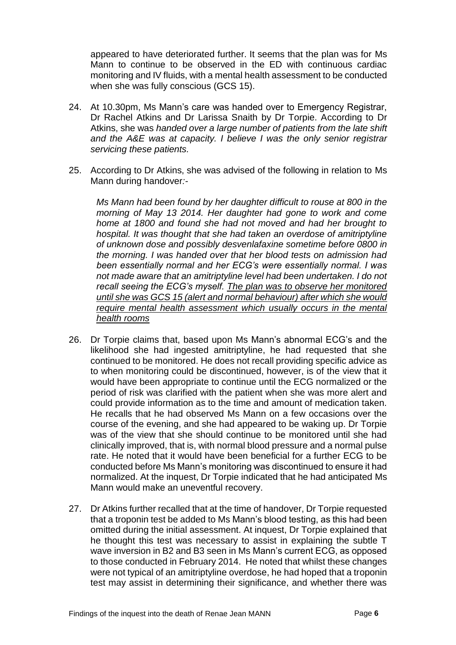appeared to have deteriorated further. It seems that the plan was for Ms Mann to continue to be observed in the ED with continuous cardiac monitoring and IV fluids, with a mental health assessment to be conducted when she was fully conscious (GCS 15).

- 24. At 10.30pm, Ms Mann's care was handed over to Emergency Registrar, Dr Rachel Atkins and Dr Larissa Snaith by Dr Torpie. According to Dr Atkins, she was *handed over a large number of patients from the late shift and the A&E was at capacity. I believe I was the only senior registrar servicing these patients.*
- 25. According to Dr Atkins, she was advised of the following in relation to Ms Mann during handover*:-*

*Ms Mann had been found by her daughter difficult to rouse at 800 in the morning of May 13 2014. Her daughter had gone to work and come home at 1800 and found she had not moved and had her brought to hospital. It was thought that she had taken an overdose of amitriptyline of unknown dose and possibly desvenlafaxine sometime before 0800 in the morning. I was handed over that her blood tests on admission had been essentially normal and her ECG's were essentially normal. I was not made aware that an amitriptyline level had been undertaken. I do not recall seeing the ECG's myself. The plan was to observe her monitored until she was GCS 15 (alert and normal behaviour) after which she would require mental health assessment which usually occurs in the mental health rooms*

- 26. Dr Torpie claims that, based upon Ms Mann's abnormal ECG's and the likelihood she had ingested amitriptyline, he had requested that she continued to be monitored. He does not recall providing specific advice as to when monitoring could be discontinued, however, is of the view that it would have been appropriate to continue until the ECG normalized or the period of risk was clarified with the patient when she was more alert and could provide information as to the time and amount of medication taken. He recalls that he had observed Ms Mann on a few occasions over the course of the evening, and she had appeared to be waking up. Dr Torpie was of the view that she should continue to be monitored until she had clinically improved, that is, with normal blood pressure and a normal pulse rate. He noted that it would have been beneficial for a further ECG to be conducted before Ms Mann's monitoring was discontinued to ensure it had normalized. At the inquest, Dr Torpie indicated that he had anticipated Ms Mann would make an uneventful recovery.
- 27. Dr Atkins further recalled that at the time of handover, Dr Torpie requested that a troponin test be added to Ms Mann's blood testing, as this had been omitted during the initial assessment. At inquest, Dr Torpie explained that he thought this test was necessary to assist in explaining the subtle T wave inversion in B2 and B3 seen in Ms Mann's current ECG, as opposed to those conducted in February 2014. He noted that whilst these changes were not typical of an amitriptyline overdose, he had hoped that a troponin test may assist in determining their significance, and whether there was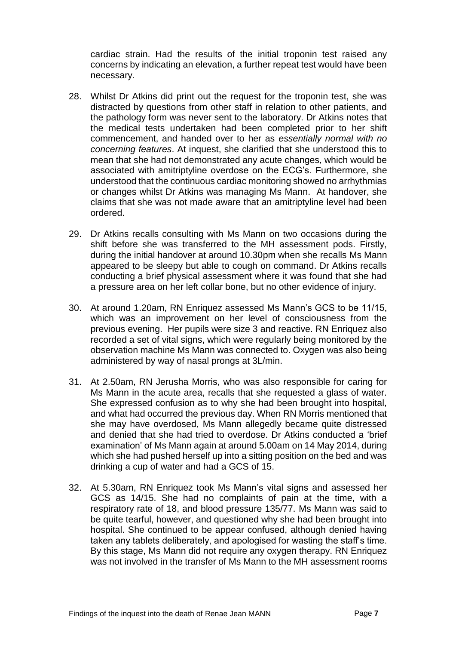cardiac strain. Had the results of the initial troponin test raised any concerns by indicating an elevation, a further repeat test would have been necessary.

- 28. Whilst Dr Atkins did print out the request for the troponin test, she was distracted by questions from other staff in relation to other patients, and the pathology form was never sent to the laboratory. Dr Atkins notes that the medical tests undertaken had been completed prior to her shift commencement, and handed over to her as *essentially normal with no concerning features*. At inquest, she clarified that she understood this to mean that she had not demonstrated any acute changes, which would be associated with amitriptyline overdose on the ECG's. Furthermore, she understood that the continuous cardiac monitoring showed no arrhythmias or changes whilst Dr Atkins was managing Ms Mann. At handover, she claims that she was not made aware that an amitriptyline level had been ordered.
- 29. Dr Atkins recalls consulting with Ms Mann on two occasions during the shift before she was transferred to the MH assessment pods. Firstly, during the initial handover at around 10.30pm when she recalls Ms Mann appeared to be sleepy but able to cough on command. Dr Atkins recalls conducting a brief physical assessment where it was found that she had a pressure area on her left collar bone, but no other evidence of injury.
- 30. At around 1.20am, RN Enriquez assessed Ms Mann's GCS to be 11/15, which was an improvement on her level of consciousness from the previous evening. Her pupils were size 3 and reactive. RN Enriquez also recorded a set of vital signs, which were regularly being monitored by the observation machine Ms Mann was connected to. Oxygen was also being administered by way of nasal prongs at 3L/min.
- 31. At 2.50am, RN Jerusha Morris, who was also responsible for caring for Ms Mann in the acute area, recalls that she requested a glass of water. She expressed confusion as to why she had been brought into hospital, and what had occurred the previous day. When RN Morris mentioned that she may have overdosed, Ms Mann allegedly became quite distressed and denied that she had tried to overdose. Dr Atkins conducted a 'brief examination' of Ms Mann again at around 5.00am on 14 May 2014, during which she had pushed herself up into a sitting position on the bed and was drinking a cup of water and had a GCS of 15.
- 32. At 5.30am, RN Enriquez took Ms Mann's vital signs and assessed her GCS as 14/15. She had no complaints of pain at the time, with a respiratory rate of 18, and blood pressure 135/77. Ms Mann was said to be quite tearful, however, and questioned why she had been brought into hospital. She continued to be appear confused, although denied having taken any tablets deliberately, and apologised for wasting the staff's time. By this stage, Ms Mann did not require any oxygen therapy. RN Enriquez was not involved in the transfer of Ms Mann to the MH assessment rooms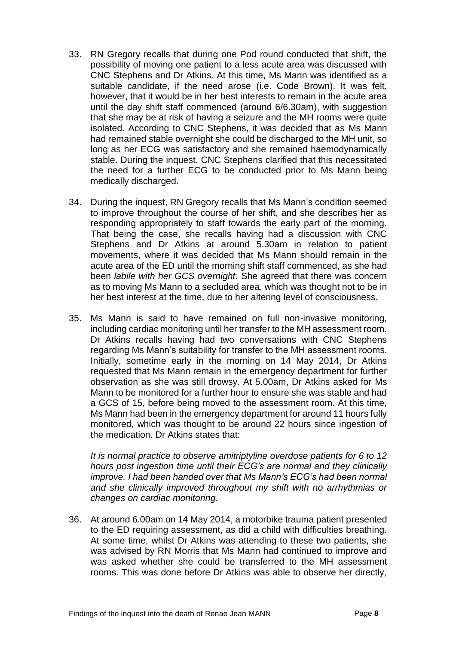- 33. RN Gregory recalls that during one Pod round conducted that shift, the possibility of moving one patient to a less acute area was discussed with CNC Stephens and Dr Atkins. At this time, Ms Mann was identified as a suitable candidate, if the need arose (i.e. Code Brown). It was felt, however, that it would be in her best interests to remain in the acute area until the day shift staff commenced (around 6/6.30am), with suggestion that she may be at risk of having a seizure and the MH rooms were quite isolated. According to CNC Stephens, it was decided that as Ms Mann had remained stable overnight she could be discharged to the MH unit, so long as her ECG was satisfactory and she remained haemodynamically stable. During the inquest, CNC Stephens clarified that this necessitated the need for a further ECG to be conducted prior to Ms Mann being medically discharged.
- 34. During the inquest, RN Gregory recalls that Ms Mann's condition seemed to improve throughout the course of her shift, and she describes her as responding appropriately to staff towards the early part of the morning. That being the case, she recalls having had a discussion with CNC Stephens and Dr Atkins at around 5.30am in relation to patient movements, where it was decided that Ms Mann should remain in the acute area of the ED until the morning shift staff commenced, as she had been *labile with her GCS overnight*. She agreed that there was concern as to moving Ms Mann to a secluded area, which was thought not to be in her best interest at the time, due to her altering level of consciousness.
- 35. Ms Mann is said to have remained on full non-invasive monitoring, including cardiac monitoring until her transfer to the MH assessment room. Dr Atkins recalls having had two conversations with CNC Stephens regarding Ms Mann's suitability for transfer to the MH assessment rooms. Initially, sometime early in the morning on 14 May 2014, Dr Atkins requested that Ms Mann remain in the emergency department for further observation as she was still drowsy. At 5.00am, Dr Atkins asked for Ms Mann to be monitored for a further hour to ensure she was stable and had a GCS of 15, before being moved to the assessment room. At this time, Ms Mann had been in the emergency department for around 11 hours fully monitored, which was thought to be around 22 hours since ingestion of the medication. Dr Atkins states that:

*It is normal practice to observe amitriptyline overdose patients for 6 to 12 hours post ingestion time until their ECG's are normal and they clinically improve. I had been handed over that Ms Mann's ECG's had been normal and she clinically improved throughout my shift with no arrhythmias or changes on cardiac monitoring.*

36. At around 6.00am on 14 May 2014, a motorbike trauma patient presented to the ED requiring assessment, as did a child with difficulties breathing. At some time, whilst Dr Atkins was attending to these two patients, she was advised by RN Morris that Ms Mann had continued to improve and was asked whether she could be transferred to the MH assessment rooms. This was done before Dr Atkins was able to observe her directly,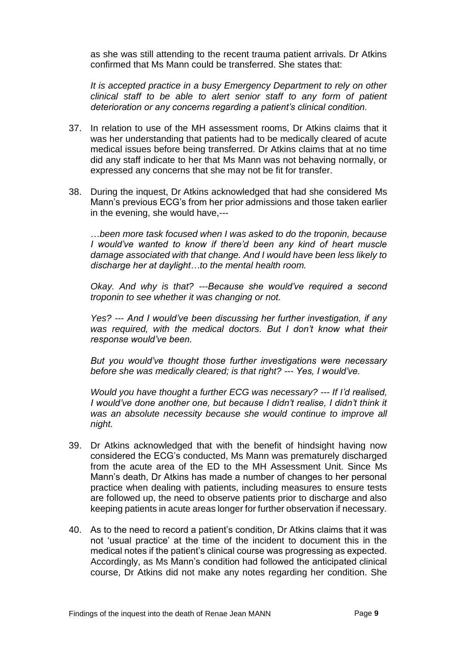as she was still attending to the recent trauma patient arrivals. Dr Atkins confirmed that Ms Mann could be transferred. She states that:

*It is accepted practice in a busy Emergency Department to rely on other clinical staff to be able to alert senior staff to any form of patient deterioration or any concerns regarding a patient's clinical condition.*

- 37. In relation to use of the MH assessment rooms, Dr Atkins claims that it was her understanding that patients had to be medically cleared of acute medical issues before being transferred. Dr Atkins claims that at no time did any staff indicate to her that Ms Mann was not behaving normally, or expressed any concerns that she may not be fit for transfer.
- 38. During the inquest, Dr Atkins acknowledged that had she considered Ms Mann's previous ECG's from her prior admissions and those taken earlier in the evening, she would have,---

…*been more task focused when I was asked to do the troponin, because I* would've wanted to know if there'd been any kind of heart muscle *damage associated with that change. And I would have been less likely to discharge her at daylight…to the mental health room.* 

*Okay. And why is that? ---Because she would've required a second troponin to see whether it was changing or not.* 

*Yes? --- And I would've been discussing her further investigation, if any*  was required, with the medical doctors. But I don't know what their *response would've been.* 

*But you would've thought those further investigations were necessary before she was medically cleared; is that right? --- Yes, I would've.*

*Would you have thought a further ECG was necessary? --- If I'd realised, I* would've done another one, but because I didn't realise, I didn't think it *was an absolute necessity because she would continue to improve all night.*

- 39. Dr Atkins acknowledged that with the benefit of hindsight having now considered the ECG's conducted, Ms Mann was prematurely discharged from the acute area of the ED to the MH Assessment Unit. Since Ms Mann's death, Dr Atkins has made a number of changes to her personal practice when dealing with patients, including measures to ensure tests are followed up, the need to observe patients prior to discharge and also keeping patients in acute areas longer for further observation if necessary.
- 40. As to the need to record a patient's condition, Dr Atkins claims that it was not 'usual practice' at the time of the incident to document this in the medical notes if the patient's clinical course was progressing as expected. Accordingly, as Ms Mann's condition had followed the anticipated clinical course, Dr Atkins did not make any notes regarding her condition. She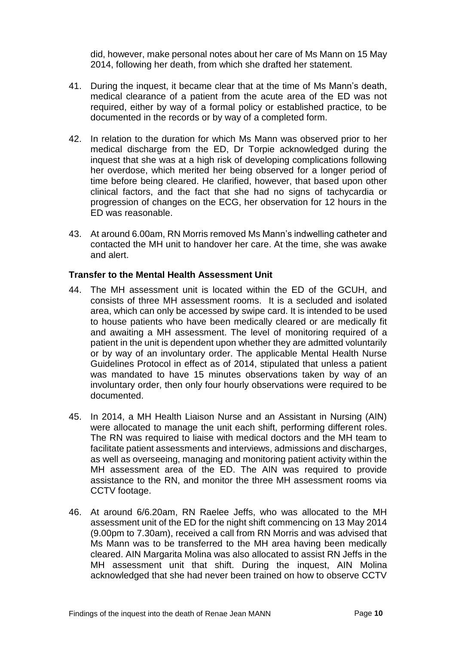did, however, make personal notes about her care of Ms Mann on 15 May 2014, following her death, from which she drafted her statement.

- 41. During the inquest, it became clear that at the time of Ms Mann's death, medical clearance of a patient from the acute area of the ED was not required, either by way of a formal policy or established practice, to be documented in the records or by way of a completed form.
- 42. In relation to the duration for which Ms Mann was observed prior to her medical discharge from the ED, Dr Torpie acknowledged during the inquest that she was at a high risk of developing complications following her overdose, which merited her being observed for a longer period of time before being cleared. He clarified, however, that based upon other clinical factors, and the fact that she had no signs of tachycardia or progression of changes on the ECG, her observation for 12 hours in the ED was reasonable.
- 43. At around 6.00am, RN Morris removed Ms Mann's indwelling catheter and contacted the MH unit to handover her care. At the time, she was awake and alert.

#### <span id="page-10-0"></span>**Transfer to the Mental Health Assessment Unit**

- 44. The MH assessment unit is located within the ED of the GCUH, and consists of three MH assessment rooms. It is a secluded and isolated area, which can only be accessed by swipe card. It is intended to be used to house patients who have been medically cleared or are medically fit and awaiting a MH assessment. The level of monitoring required of a patient in the unit is dependent upon whether they are admitted voluntarily or by way of an involuntary order. The applicable Mental Health Nurse Guidelines Protocol in effect as of 2014, stipulated that unless a patient was mandated to have 15 minutes observations taken by way of an involuntary order, then only four hourly observations were required to be documented.
- 45. In 2014, a MH Health Liaison Nurse and an Assistant in Nursing (AIN) were allocated to manage the unit each shift, performing different roles. The RN was required to liaise with medical doctors and the MH team to facilitate patient assessments and interviews, admissions and discharges, as well as overseeing, managing and monitoring patient activity within the MH assessment area of the ED. The AIN was required to provide assistance to the RN, and monitor the three MH assessment rooms via CCTV footage.
- 46. At around 6/6.20am, RN Raelee Jeffs, who was allocated to the MH assessment unit of the ED for the night shift commencing on 13 May 2014 (9.00pm to 7.30am), received a call from RN Morris and was advised that Ms Mann was to be transferred to the MH area having been medically cleared. AIN Margarita Molina was also allocated to assist RN Jeffs in the MH assessment unit that shift. During the inquest, AIN Molina acknowledged that she had never been trained on how to observe CCTV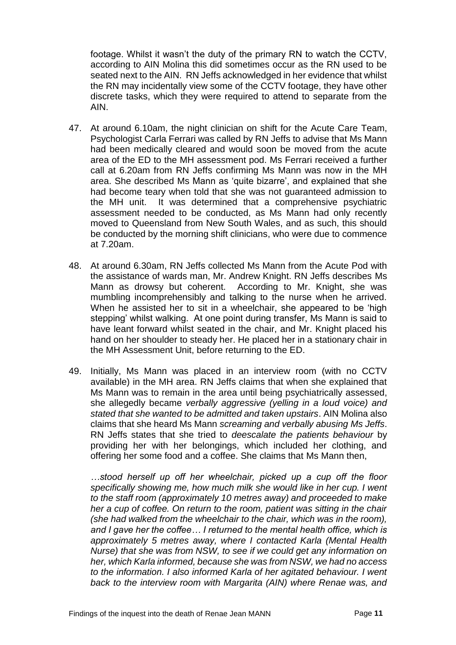footage. Whilst it wasn't the duty of the primary RN to watch the CCTV, according to AIN Molina this did sometimes occur as the RN used to be seated next to the AIN. RN Jeffs acknowledged in her evidence that whilst the RN may incidentally view some of the CCTV footage, they have other discrete tasks, which they were required to attend to separate from the AIN.

- 47. At around 6.10am, the night clinician on shift for the Acute Care Team, Psychologist Carla Ferrari was called by RN Jeffs to advise that Ms Mann had been medically cleared and would soon be moved from the acute area of the ED to the MH assessment pod. Ms Ferrari received a further call at 6.20am from RN Jeffs confirming Ms Mann was now in the MH area. She described Ms Mann as 'quite bizarre', and explained that she had become teary when told that she was not guaranteed admission to the MH unit. It was determined that a comprehensive psychiatric assessment needed to be conducted, as Ms Mann had only recently moved to Queensland from New South Wales, and as such, this should be conducted by the morning shift clinicians, who were due to commence at 7.20am.
- 48. At around 6.30am, RN Jeffs collected Ms Mann from the Acute Pod with the assistance of wards man, Mr. Andrew Knight. RN Jeffs describes Ms Mann as drowsy but coherent. According to Mr. Knight, she was mumbling incomprehensibly and talking to the nurse when he arrived. When he assisted her to sit in a wheelchair, she appeared to be 'high stepping' whilst walking. At one point during transfer, Ms Mann is said to have leant forward whilst seated in the chair, and Mr. Knight placed his hand on her shoulder to steady her. He placed her in a stationary chair in the MH Assessment Unit, before returning to the ED.
- 49. Initially, Ms Mann was placed in an interview room (with no CCTV available) in the MH area. RN Jeffs claims that when she explained that Ms Mann was to remain in the area until being psychiatrically assessed, she allegedly became *verbally aggressive (yelling in a loud voice) and stated that she wanted to be admitted and taken upstairs*. AIN Molina also claims that she heard Ms Mann *screaming and verbally abusing Ms Jeffs*. RN Jeffs states that she tried to *deescalate the patients behaviour* by providing her with her belongings, which included her clothing, and offering her some food and a coffee. She claims that Ms Mann then,

*…stood herself up off her wheelchair, picked up a cup off the floor specifically showing me, how much milk she would like in her cup. I went to the staff room (approximately 10 metres away) and proceeded to make her a cup of coffee. On return to the room, patient was sitting in the chair (she had walked from the wheelchair to the chair, which was in the room), and I gave her the coffee… I returned to the mental health office, which is approximately 5 metres away, where I contacted Karla (Mental Health Nurse) that she was from NSW, to see if we could get any information on her, which Karla informed, because she was from NSW, we had no access to the information. I also informed Karla of her agitated behaviour. I went back to the interview room with Margarita (AIN) where Renae was, and*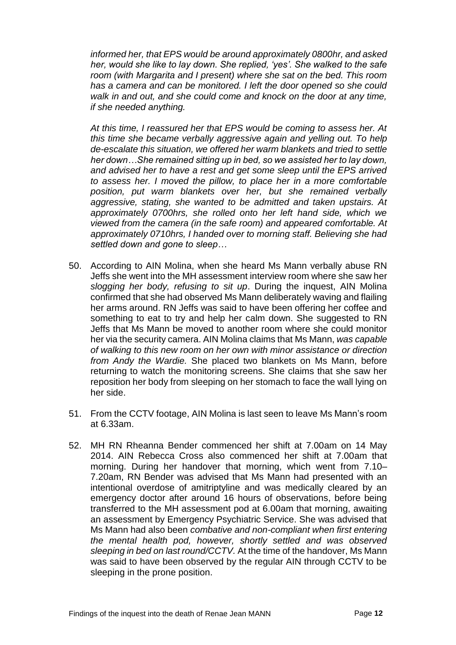*informed her, that EPS would be around approximately 0800hr, and asked her, would she like to lay down. She replied, 'yes'. She walked to the safe room (with Margarita and I present) where she sat on the bed. This room has a camera and can be monitored. I left the door opened so she could walk in and out, and she could come and knock on the door at any time, if she needed anything.* 

*At this time, I reassured her that EPS would be coming to assess her. At this time she became verbally aggressive again and yelling out. To help de-escalate this situation, we offered her warm blankets and tried to settle her down…She remained sitting up in bed, so we assisted her to lay down, and advised her to have a rest and get some sleep until the EPS arrived to assess her. I moved the pillow, to place her in a more comfortable position, put warm blankets over her, but she remained verbally aggressive, stating, she wanted to be admitted and taken upstairs. At approximately 0700hrs, she rolled onto her left hand side, which we viewed from the camera (in the safe room) and appeared comfortable. At approximately 0710hrs, I handed over to morning staff. Believing she had settled down and gone to sleep…*

- 50. According to AIN Molina, when she heard Ms Mann verbally abuse RN Jeffs she went into the MH assessment interview room where she saw her *slogging her body, refusing to sit up*. During the inquest, AIN Molina confirmed that she had observed Ms Mann deliberately waving and flailing her arms around. RN Jeffs was said to have been offering her coffee and something to eat to try and help her calm down. She suggested to RN Jeffs that Ms Mann be moved to another room where she could monitor her via the security camera. AIN Molina claims that Ms Mann, *was capable of walking to this new room on her own with minor assistance or direction from Andy the Wardie.* She placed two blankets on Ms Mann, before returning to watch the monitoring screens. She claims that she saw her reposition her body from sleeping on her stomach to face the wall lying on her side.
- 51. From the CCTV footage, AIN Molina is last seen to leave Ms Mann's room at 6.33am.
- 52. MH RN Rheanna Bender commenced her shift at 7.00am on 14 May 2014. AIN Rebecca Cross also commenced her shift at 7.00am that morning. During her handover that morning, which went from 7.10– 7.20am, RN Bender was advised that Ms Mann had presented with an intentional overdose of amitriptyline and was medically cleared by an emergency doctor after around 16 hours of observations, before being transferred to the MH assessment pod at 6.00am that morning, awaiting an assessment by Emergency Psychiatric Service. She was advised that Ms Mann had also been *combative and non-compliant when first entering the mental health pod, however, shortly settled and was observed sleeping in bed on last round/CCTV.* At the time of the handover, Ms Mann was said to have been observed by the regular AIN through CCTV to be sleeping in the prone position.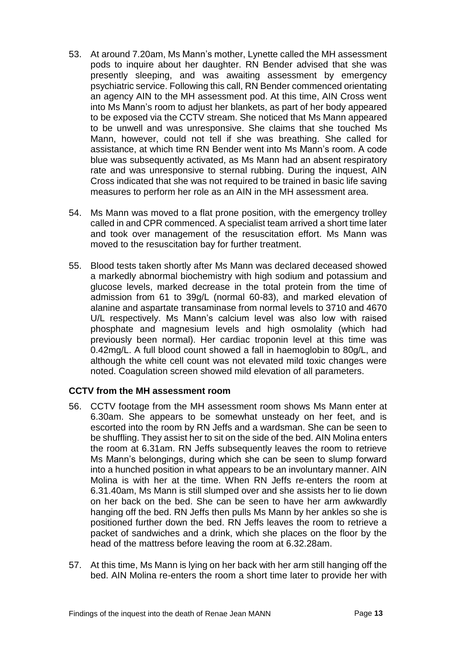- 53. At around 7.20am, Ms Mann's mother, Lynette called the MH assessment pods to inquire about her daughter. RN Bender advised that she was presently sleeping, and was awaiting assessment by emergency psychiatric service. Following this call, RN Bender commenced orientating an agency AIN to the MH assessment pod. At this time, AIN Cross went into Ms Mann's room to adjust her blankets, as part of her body appeared to be exposed via the CCTV stream. She noticed that Ms Mann appeared to be unwell and was unresponsive. She claims that she touched Ms Mann, however, could not tell if she was breathing. She called for assistance, at which time RN Bender went into Ms Mann's room. A code blue was subsequently activated, as Ms Mann had an absent respiratory rate and was unresponsive to sternal rubbing. During the inquest, AIN Cross indicated that she was not required to be trained in basic life saving measures to perform her role as an AIN in the MH assessment area.
- 54. Ms Mann was moved to a flat prone position, with the emergency trolley called in and CPR commenced. A specialist team arrived a short time later and took over management of the resuscitation effort. Ms Mann was moved to the resuscitation bay for further treatment.
- 55. Blood tests taken shortly after Ms Mann was declared deceased showed a markedly abnormal biochemistry with high sodium and potassium and glucose levels, marked decrease in the total protein from the time of admission from 61 to 39g/L (normal 60-83), and marked elevation of alanine and aspartate transaminase from normal levels to 3710 and 4670 U/L respectively. Ms Mann's calcium level was also low with raised phosphate and magnesium levels and high osmolality (which had previously been normal). Her cardiac troponin level at this time was 0.42mg/L. A full blood count showed a fall in haemoglobin to 80g/L, and although the white cell count was not elevated mild toxic changes were noted. Coagulation screen showed mild elevation of all parameters.

# <span id="page-13-0"></span>**CCTV from the MH assessment room**

- 56. CCTV footage from the MH assessment room shows Ms Mann enter at 6.30am. She appears to be somewhat unsteady on her feet, and is escorted into the room by RN Jeffs and a wardsman. She can be seen to be shuffling. They assist her to sit on the side of the bed. AIN Molina enters the room at 6.31am. RN Jeffs subsequently leaves the room to retrieve Ms Mann's belongings, during which she can be seen to slump forward into a hunched position in what appears to be an involuntary manner. AIN Molina is with her at the time. When RN Jeffs re-enters the room at 6.31.40am, Ms Mann is still slumped over and she assists her to lie down on her back on the bed. She can be seen to have her arm awkwardly hanging off the bed. RN Jeffs then pulls Ms Mann by her ankles so she is positioned further down the bed. RN Jeffs leaves the room to retrieve a packet of sandwiches and a drink, which she places on the floor by the head of the mattress before leaving the room at 6.32.28am.
- 57. At this time, Ms Mann is lying on her back with her arm still hanging off the bed. AIN Molina re-enters the room a short time later to provide her with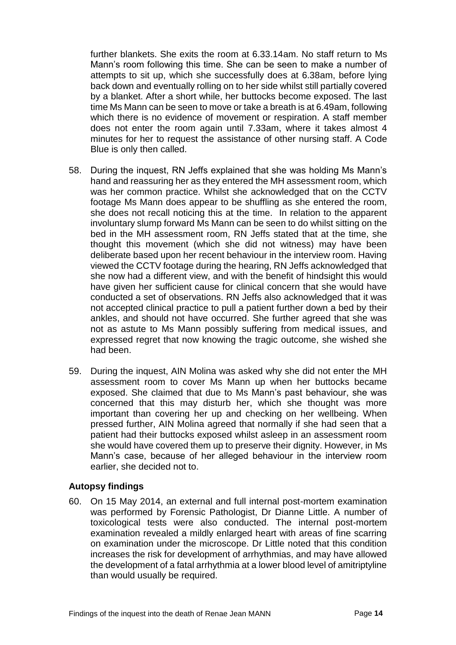further blankets. She exits the room at 6.33.14am. No staff return to Ms Mann's room following this time. She can be seen to make a number of attempts to sit up, which she successfully does at 6.38am, before lying back down and eventually rolling on to her side whilst still partially covered by a blanket. After a short while, her buttocks become exposed. The last time Ms Mann can be seen to move or take a breath is at 6.49am, following which there is no evidence of movement or respiration. A staff member does not enter the room again until 7.33am, where it takes almost 4 minutes for her to request the assistance of other nursing staff. A Code Blue is only then called.

- 58. During the inquest, RN Jeffs explained that she was holding Ms Mann's hand and reassuring her as they entered the MH assessment room, which was her common practice. Whilst she acknowledged that on the CCTV footage Ms Mann does appear to be shuffling as she entered the room, she does not recall noticing this at the time. In relation to the apparent involuntary slump forward Ms Mann can be seen to do whilst sitting on the bed in the MH assessment room, RN Jeffs stated that at the time, she thought this movement (which she did not witness) may have been deliberate based upon her recent behaviour in the interview room. Having viewed the CCTV footage during the hearing, RN Jeffs acknowledged that she now had a different view, and with the benefit of hindsight this would have given her sufficient cause for clinical concern that she would have conducted a set of observations. RN Jeffs also acknowledged that it was not accepted clinical practice to pull a patient further down a bed by their ankles, and should not have occurred. She further agreed that she was not as astute to Ms Mann possibly suffering from medical issues, and expressed regret that now knowing the tragic outcome, she wished she had been.
- 59. During the inquest, AIN Molina was asked why she did not enter the MH assessment room to cover Ms Mann up when her buttocks became exposed. She claimed that due to Ms Mann's past behaviour, she was concerned that this may disturb her, which she thought was more important than covering her up and checking on her wellbeing. When pressed further, AIN Molina agreed that normally if she had seen that a patient had their buttocks exposed whilst asleep in an assessment room she would have covered them up to preserve their dignity. However, in Ms Mann's case, because of her alleged behaviour in the interview room earlier, she decided not to.

# <span id="page-14-0"></span>**Autopsy findings**

60. On 15 May 2014, an external and full internal post-mortem examination was performed by Forensic Pathologist, Dr Dianne Little. A number of toxicological tests were also conducted. The internal post-mortem examination revealed a mildly enlarged heart with areas of fine scarring on examination under the microscope. Dr Little noted that this condition increases the risk for development of arrhythmias, and may have allowed the development of a fatal arrhythmia at a lower blood level of amitriptyline than would usually be required.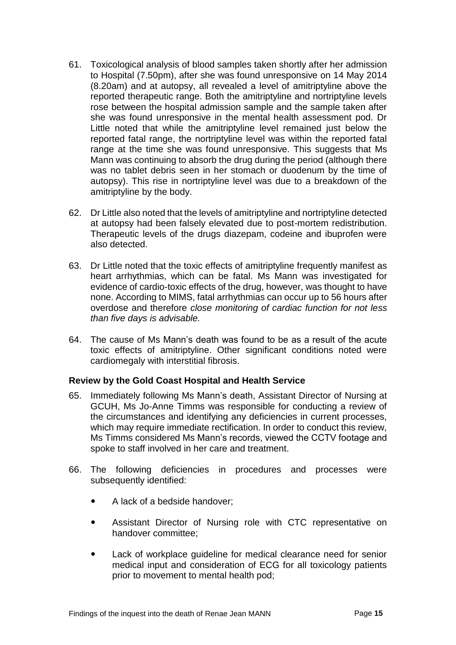- 61. Toxicological analysis of blood samples taken shortly after her admission to Hospital (7.50pm), after she was found unresponsive on 14 May 2014 (8.20am) and at autopsy, all revealed a level of amitriptyline above the reported therapeutic range. Both the amitriptyline and nortriptyline levels rose between the hospital admission sample and the sample taken after she was found unresponsive in the mental health assessment pod. Dr Little noted that while the amitriptyline level remained just below the reported fatal range, the nortriptyline level was within the reported fatal range at the time she was found unresponsive. This suggests that Ms Mann was continuing to absorb the drug during the period (although there was no tablet debris seen in her stomach or duodenum by the time of autopsy). This rise in nortriptyline level was due to a breakdown of the amitriptyline by the body.
- 62. Dr Little also noted that the levels of amitriptyline and nortriptyline detected at autopsy had been falsely elevated due to post-mortem redistribution. Therapeutic levels of the drugs diazepam, codeine and ibuprofen were also detected.
- 63. Dr Little noted that the toxic effects of amitriptyline frequently manifest as heart arrhythmias, which can be fatal. Ms Mann was investigated for evidence of cardio-toxic effects of the drug, however, was thought to have none. According to MIMS, fatal arrhythmias can occur up to 56 hours after overdose and therefore *close monitoring of cardiac function for not less than five days is advisable.*
- 64. The cause of Ms Mann's death was found to be as a result of the acute toxic effects of amitriptyline. Other significant conditions noted were cardiomegaly with interstitial fibrosis.

# <span id="page-15-0"></span>**Review by the Gold Coast Hospital and Health Service**

- 65. Immediately following Ms Mann's death, Assistant Director of Nursing at GCUH, Ms Jo-Anne Timms was responsible for conducting a review of the circumstances and identifying any deficiencies in current processes, which may require immediate rectification. In order to conduct this review, Ms Timms considered Ms Mann's records, viewed the CCTV footage and spoke to staff involved in her care and treatment.
- 66. The following deficiencies in procedures and processes were subsequently identified:
	- A lack of a bedside handover;
	- Assistant Director of Nursing role with CTC representative on handover committee;
	- Lack of workplace guideline for medical clearance need for senior medical input and consideration of ECG for all toxicology patients prior to movement to mental health pod;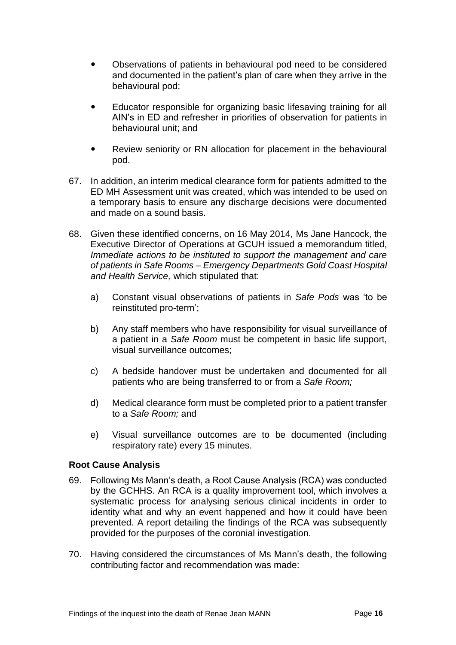- Observations of patients in behavioural pod need to be considered and documented in the patient's plan of care when they arrive in the behavioural pod;
- Educator responsible for organizing basic lifesaving training for all AIN's in ED and refresher in priorities of observation for patients in behavioural unit; and
- Review seniority or RN allocation for placement in the behavioural pod.
- 67. In addition, an interim medical clearance form for patients admitted to the ED MH Assessment unit was created, which was intended to be used on a temporary basis to ensure any discharge decisions were documented and made on a sound basis.
- 68. Given these identified concerns, on 16 May 2014, Ms Jane Hancock, the Executive Director of Operations at GCUH issued a memorandum titled, *Immediate actions to be instituted to support the management and care of patients in Safe Rooms – Emergency Departments Gold Coast Hospital and Health Service,* which stipulated that:
	- a) Constant visual observations of patients in *Safe Pods* was 'to be reinstituted pro-term';
	- b) Any staff members who have responsibility for visual surveillance of a patient in a *Safe Room* must be competent in basic life support, visual surveillance outcomes;
	- c) A bedside handover must be undertaken and documented for all patients who are being transferred to or from a *Safe Room;*
	- d) Medical clearance form must be completed prior to a patient transfer to a *Safe Room;* and
	- e) Visual surveillance outcomes are to be documented (including respiratory rate) every 15 minutes.

# <span id="page-16-0"></span>**Root Cause Analysis**

- 69. Following Ms Mann's death, a Root Cause Analysis (RCA) was conducted by the GCHHS. An RCA is a quality improvement tool, which involves a systematic process for analysing serious clinical incidents in order to identity what and why an event happened and how it could have been prevented. A report detailing the findings of the RCA was subsequently provided for the purposes of the coronial investigation.
- 70. Having considered the circumstances of Ms Mann's death, the following contributing factor and recommendation was made: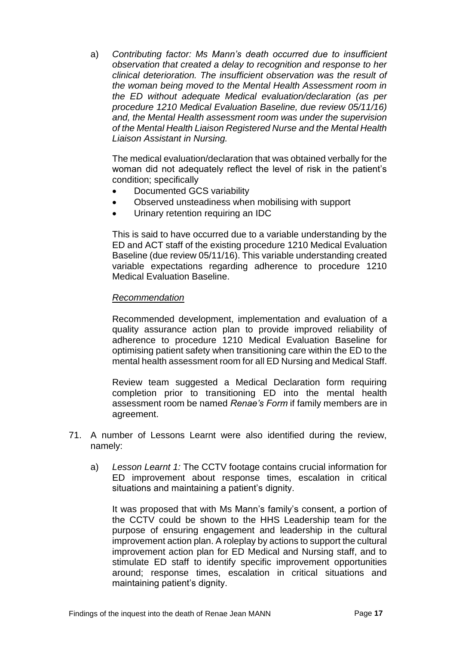a) *Contributing factor: Ms Mann's death occurred due to insufficient observation that created a delay to recognition and response to her clinical deterioration. The insufficient observation was the result of the woman being moved to the Mental Health Assessment room in the ED without adequate Medical evaluation/declaration (as per procedure 1210 Medical Evaluation Baseline, due review 05/11/16) and, the Mental Health assessment room was under the supervision of the Mental Health Liaison Registered Nurse and the Mental Health Liaison Assistant in Nursing.* 

The medical evaluation/declaration that was obtained verbally for the woman did not adequately reflect the level of risk in the patient's condition; specifically

- Documented GCS variability
- Observed unsteadiness when mobilising with support
- Urinary retention requiring an IDC

This is said to have occurred due to a variable understanding by the ED and ACT staff of the existing procedure 1210 Medical Evaluation Baseline (due review 05/11/16). This variable understanding created variable expectations regarding adherence to procedure 1210 Medical Evaluation Baseline.

#### *Recommendation*

Recommended development, implementation and evaluation of a quality assurance action plan to provide improved reliability of adherence to procedure 1210 Medical Evaluation Baseline for optimising patient safety when transitioning care within the ED to the mental health assessment room for all ED Nursing and Medical Staff.

Review team suggested a Medical Declaration form requiring completion prior to transitioning ED into the mental health assessment room be named *Renae's Form* if family members are in agreement.

- 71. A number of Lessons Learnt were also identified during the review, namely:
	- a) *Lesson Learnt 1:* The CCTV footage contains crucial information for ED improvement about response times, escalation in critical situations and maintaining a patient's dignity.

It was proposed that with Ms Mann's family's consent, a portion of the CCTV could be shown to the HHS Leadership team for the purpose of ensuring engagement and leadership in the cultural improvement action plan. A roleplay by actions to support the cultural improvement action plan for ED Medical and Nursing staff, and to stimulate ED staff to identify specific improvement opportunities around; response times, escalation in critical situations and maintaining patient's dignity.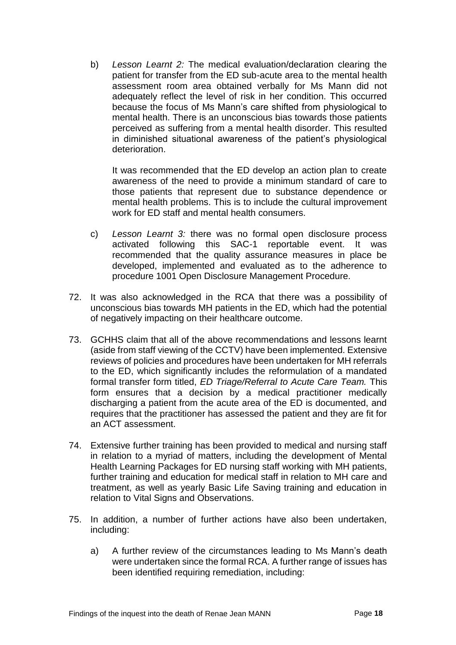b) *Lesson Learnt 2:* The medical evaluation/declaration clearing the patient for transfer from the ED sub-acute area to the mental health assessment room area obtained verbally for Ms Mann did not adequately reflect the level of risk in her condition. This occurred because the focus of Ms Mann's care shifted from physiological to mental health. There is an unconscious bias towards those patients perceived as suffering from a mental health disorder. This resulted in diminished situational awareness of the patient's physiological deterioration.

It was recommended that the ED develop an action plan to create awareness of the need to provide a minimum standard of care to those patients that represent due to substance dependence or mental health problems. This is to include the cultural improvement work for ED staff and mental health consumers.

- c) *Lesson Learnt 3:* there was no formal open disclosure process activated following this SAC-1 reportable event. It was recommended that the quality assurance measures in place be developed, implemented and evaluated as to the adherence to procedure 1001 Open Disclosure Management Procedure.
- 72. It was also acknowledged in the RCA that there was a possibility of unconscious bias towards MH patients in the ED, which had the potential of negatively impacting on their healthcare outcome.
- 73. GCHHS claim that all of the above recommendations and lessons learnt (aside from staff viewing of the CCTV) have been implemented. Extensive reviews of policies and procedures have been undertaken for MH referrals to the ED, which significantly includes the reformulation of a mandated formal transfer form titled, *ED Triage/Referral to Acute Care Team.* This form ensures that a decision by a medical practitioner medically discharging a patient from the acute area of the ED is documented, and requires that the practitioner has assessed the patient and they are fit for an ACT assessment.
- 74. Extensive further training has been provided to medical and nursing staff in relation to a myriad of matters, including the development of Mental Health Learning Packages for ED nursing staff working with MH patients, further training and education for medical staff in relation to MH care and treatment, as well as yearly Basic Life Saving training and education in relation to Vital Signs and Observations.
- 75. In addition, a number of further actions have also been undertaken, including:
	- a) A further review of the circumstances leading to Ms Mann's death were undertaken since the formal RCA. A further range of issues has been identified requiring remediation, including: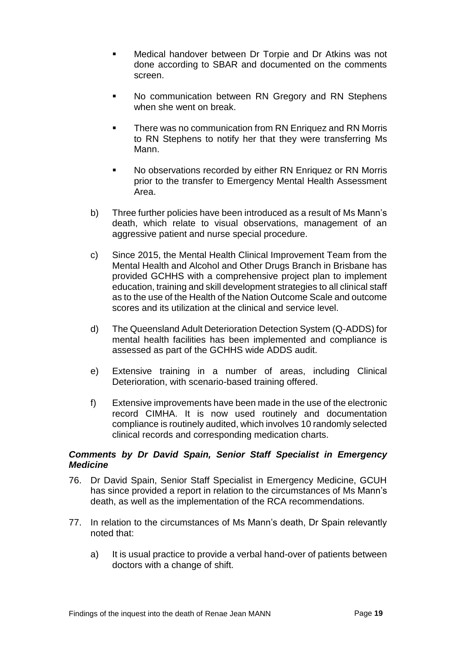- Medical handover between Dr Torpie and Dr Atkins was not done according to SBAR and documented on the comments screen.
- No communication between RN Gregory and RN Stephens when she went on break.
- There was no communication from RN Enriquez and RN Morris to RN Stephens to notify her that they were transferring Ms Mann.
- No observations recorded by either RN Enriquez or RN Morris prior to the transfer to Emergency Mental Health Assessment Area.
- b) Three further policies have been introduced as a result of Ms Mann's death, which relate to visual observations, management of an aggressive patient and nurse special procedure.
- c) Since 2015, the Mental Health Clinical Improvement Team from the Mental Health and Alcohol and Other Drugs Branch in Brisbane has provided GCHHS with a comprehensive project plan to implement education, training and skill development strategies to all clinical staff as to the use of the Health of the Nation Outcome Scale and outcome scores and its utilization at the clinical and service level.
- d) The Queensland Adult Deterioration Detection System (Q-ADDS) for mental health facilities has been implemented and compliance is assessed as part of the GCHHS wide ADDS audit.
- e) Extensive training in a number of areas, including Clinical Deterioration, with scenario-based training offered.
- f) Extensive improvements have been made in the use of the electronic record CIMHA. It is now used routinely and documentation compliance is routinely audited, which involves 10 randomly selected clinical records and corresponding medication charts.

# <span id="page-19-0"></span>*Comments by Dr David Spain, Senior Staff Specialist in Emergency Medicine*

- 76. Dr David Spain, Senior Staff Specialist in Emergency Medicine, GCUH has since provided a report in relation to the circumstances of Ms Mann's death, as well as the implementation of the RCA recommendations.
- 77. In relation to the circumstances of Ms Mann's death, Dr Spain relevantly noted that:
	- a) It is usual practice to provide a verbal hand-over of patients between doctors with a change of shift.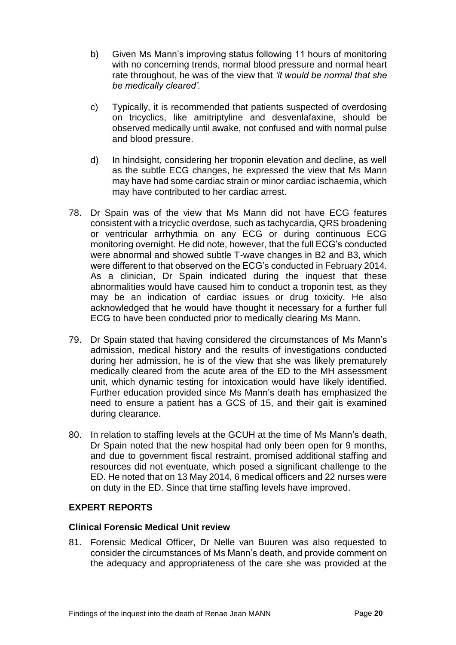- b) Given Ms Mann's improving status following 11 hours of monitoring with no concerning trends, normal blood pressure and normal heart rate throughout, he was of the view that *'it would be normal that she be medically cleared'.*
- c) Typically, it is recommended that patients suspected of overdosing on tricyclics, like amitriptyline and desvenlafaxine, should be observed medically until awake, not confused and with normal pulse and blood pressure.
- d) In hindsight, considering her troponin elevation and decline, as well as the subtle ECG changes, he expressed the view that Ms Mann may have had some cardiac strain or minor cardiac ischaemia, which may have contributed to her cardiac arrest.
- 78. Dr Spain was of the view that Ms Mann did not have ECG features consistent with a tricyclic overdose, such as tachycardia, QRS broadening or ventricular arrhythmia on any ECG or during continuous ECG monitoring overnight. He did note, however, that the full ECG's conducted were abnormal and showed subtle T-wave changes in B2 and B3, which were different to that observed on the ECG's conducted in February 2014. As a clinician, Dr Spain indicated during the inquest that these abnormalities would have caused him to conduct a troponin test, as they may be an indication of cardiac issues or drug toxicity. He also acknowledged that he would have thought it necessary for a further full ECG to have been conducted prior to medically clearing Ms Mann.
- 79. Dr Spain stated that having considered the circumstances of Ms Mann's admission, medical history and the results of investigations conducted during her admission, he is of the view that she was likely prematurely medically cleared from the acute area of the ED to the MH assessment unit, which dynamic testing for intoxication would have likely identified. Further education provided since Ms Mann's death has emphasized the need to ensure a patient has a GCS of 15, and their gait is examined during clearance.
- 80. In relation to staffing levels at the GCUH at the time of Ms Mann's death, Dr Spain noted that the new hospital had only been open for 9 months, and due to government fiscal restraint, promised additional staffing and resources did not eventuate, which posed a significant challenge to the ED. He noted that on 13 May 2014, 6 medical officers and 22 nurses were on duty in the ED. Since that time staffing levels have improved.

# <span id="page-20-0"></span>**EXPERT REPORTS**

# <span id="page-20-1"></span>**Clinical Forensic Medical Unit review**

81. Forensic Medical Officer, Dr Nelle van Buuren was also requested to consider the circumstances of Ms Mann's death, and provide comment on the adequacy and appropriateness of the care she was provided at the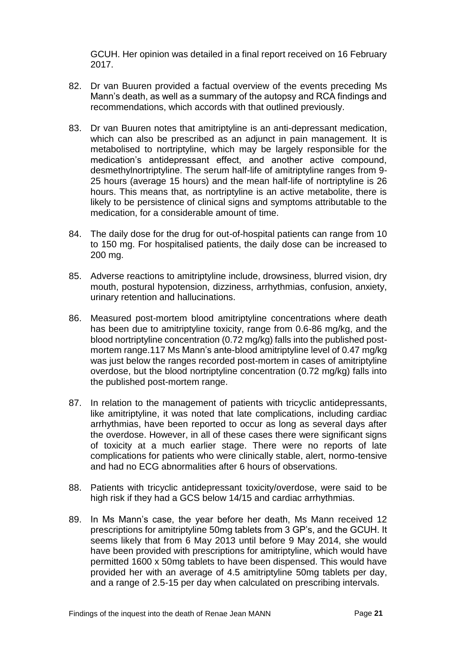GCUH. Her opinion was detailed in a final report received on 16 February 2017.

- 82. Dr van Buuren provided a factual overview of the events preceding Ms Mann's death, as well as a summary of the autopsy and RCA findings and recommendations, which accords with that outlined previously.
- 83. Dr van Buuren notes that amitriptyline is an anti-depressant medication, which can also be prescribed as an adjunct in pain management. It is metabolised to nortriptyline, which may be largely responsible for the medication's antidepressant effect, and another active compound, desmethylnortriptyline. The serum half-life of amitriptyline ranges from 9- 25 hours (average 15 hours) and the mean half-life of nortriptyline is 26 hours. This means that, as nortriptyline is an active metabolite, there is likely to be persistence of clinical signs and symptoms attributable to the medication, for a considerable amount of time.
- 84. The daily dose for the drug for out-of-hospital patients can range from 10 to 150 mg. For hospitalised patients, the daily dose can be increased to 200 mg.
- 85. Adverse reactions to amitriptyline include, drowsiness, blurred vision, dry mouth, postural hypotension, dizziness, arrhythmias, confusion, anxiety, urinary retention and hallucinations.
- 86. Measured post-mortem blood amitriptyline concentrations where death has been due to amitriptyline toxicity, range from 0.6-86 mg/kg, and the blood nortriptyline concentration (0.72 mg/kg) falls into the published postmortem range.117 Ms Mann's ante-blood amitriptyline level of 0.47 mg/kg was just below the ranges recorded post-mortem in cases of amitriptyline overdose, but the blood nortriptyline concentration (0.72 mg/kg) falls into the published post-mortem range.
- 87. In relation to the management of patients with tricyclic antidepressants, like amitriptyline, it was noted that late complications, including cardiac arrhythmias, have been reported to occur as long as several days after the overdose. However, in all of these cases there were significant signs of toxicity at a much earlier stage. There were no reports of late complications for patients who were clinically stable, alert, normo-tensive and had no ECG abnormalities after 6 hours of observations.
- 88. Patients with tricyclic antidepressant toxicity/overdose, were said to be high risk if they had a GCS below 14/15 and cardiac arrhythmias.
- 89. In Ms Mann's case, the year before her death, Ms Mann received 12 prescriptions for amitriptyline 50mg tablets from 3 GP's, and the GCUH. It seems likely that from 6 May 2013 until before 9 May 2014, she would have been provided with prescriptions for amitriptyline, which would have permitted 1600 x 50mg tablets to have been dispensed. This would have provided her with an average of 4.5 amitriptyline 50mg tablets per day, and a range of 2.5-15 per day when calculated on prescribing intervals.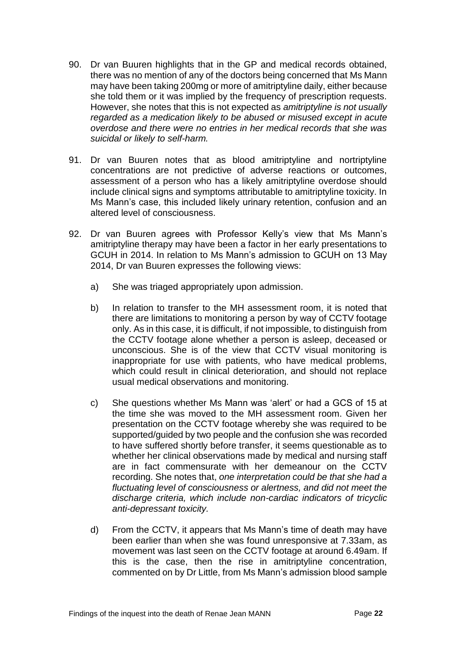- 90. Dr van Buuren highlights that in the GP and medical records obtained, there was no mention of any of the doctors being concerned that Ms Mann may have been taking 200mg or more of amitriptyline daily, either because she told them or it was implied by the frequency of prescription requests. However, she notes that this is not expected as *amitriptyline is not usually regarded as a medication likely to be abused or misused except in acute overdose and there were no entries in her medical records that she was suicidal or likely to self-harm.*
- 91. Dr van Buuren notes that as blood amitriptyline and nortriptyline concentrations are not predictive of adverse reactions or outcomes, assessment of a person who has a likely amitriptyline overdose should include clinical signs and symptoms attributable to amitriptyline toxicity. In Ms Mann's case, this included likely urinary retention, confusion and an altered level of consciousness.
- 92. Dr van Buuren agrees with Professor Kelly's view that Ms Mann's amitriptyline therapy may have been a factor in her early presentations to GCUH in 2014. In relation to Ms Mann's admission to GCUH on 13 May 2014, Dr van Buuren expresses the following views:
	- a) She was triaged appropriately upon admission.
	- b) In relation to transfer to the MH assessment room, it is noted that there are limitations to monitoring a person by way of CCTV footage only. As in this case, it is difficult, if not impossible, to distinguish from the CCTV footage alone whether a person is asleep, deceased or unconscious. She is of the view that CCTV visual monitoring is inappropriate for use with patients, who have medical problems, which could result in clinical deterioration, and should not replace usual medical observations and monitoring.
	- c) She questions whether Ms Mann was 'alert' or had a GCS of 15 at the time she was moved to the MH assessment room. Given her presentation on the CCTV footage whereby she was required to be supported/guided by two people and the confusion she was recorded to have suffered shortly before transfer, it seems questionable as to whether her clinical observations made by medical and nursing staff are in fact commensurate with her demeanour on the CCTV recording. She notes that, *one interpretation could be that she had a fluctuating level of consciousness or alertness, and did not meet the discharge criteria, which include non-cardiac indicators of tricyclic anti-depressant toxicity.*
	- d) From the CCTV, it appears that Ms Mann's time of death may have been earlier than when she was found unresponsive at 7.33am, as movement was last seen on the CCTV footage at around 6.49am. If this is the case, then the rise in amitriptyline concentration, commented on by Dr Little, from Ms Mann's admission blood sample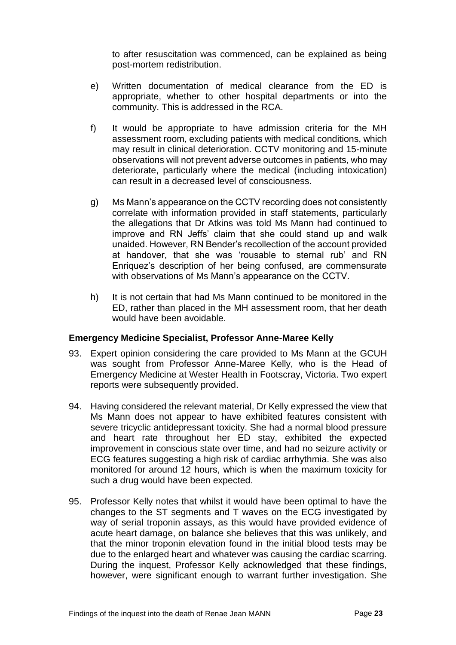to after resuscitation was commenced, can be explained as being post-mortem redistribution.

- e) Written documentation of medical clearance from the ED is appropriate, whether to other hospital departments or into the community. This is addressed in the RCA.
- f) It would be appropriate to have admission criteria for the MH assessment room, excluding patients with medical conditions, which may result in clinical deterioration. CCTV monitoring and 15-minute observations will not prevent adverse outcomes in patients, who may deteriorate, particularly where the medical (including intoxication) can result in a decreased level of consciousness.
- g) Ms Mann's appearance on the CCTV recording does not consistently correlate with information provided in staff statements, particularly the allegations that Dr Atkins was told Ms Mann had continued to improve and RN Jeffs' claim that she could stand up and walk unaided. However, RN Bender's recollection of the account provided at handover, that she was 'rousable to sternal rub' and RN Enriquez's description of her being confused, are commensurate with observations of Ms Mann's appearance on the CCTV.
- h) It is not certain that had Ms Mann continued to be monitored in the ED, rather than placed in the MH assessment room, that her death would have been avoidable.

# <span id="page-23-0"></span>**Emergency Medicine Specialist, Professor Anne-Maree Kelly**

- 93. Expert opinion considering the care provided to Ms Mann at the GCUH was sought from Professor Anne-Maree Kelly, who is the Head of Emergency Medicine at Wester Health in Footscray, Victoria. Two expert reports were subsequently provided.
- 94. Having considered the relevant material, Dr Kelly expressed the view that Ms Mann does not appear to have exhibited features consistent with severe tricyclic antidepressant toxicity. She had a normal blood pressure and heart rate throughout her ED stay, exhibited the expected improvement in conscious state over time, and had no seizure activity or ECG features suggesting a high risk of cardiac arrhythmia. She was also monitored for around 12 hours, which is when the maximum toxicity for such a drug would have been expected.
- 95. Professor Kelly notes that whilst it would have been optimal to have the changes to the ST segments and T waves on the ECG investigated by way of serial troponin assays, as this would have provided evidence of acute heart damage, on balance she believes that this was unlikely, and that the minor troponin elevation found in the initial blood tests may be due to the enlarged heart and whatever was causing the cardiac scarring. During the inquest, Professor Kelly acknowledged that these findings, however, were significant enough to warrant further investigation. She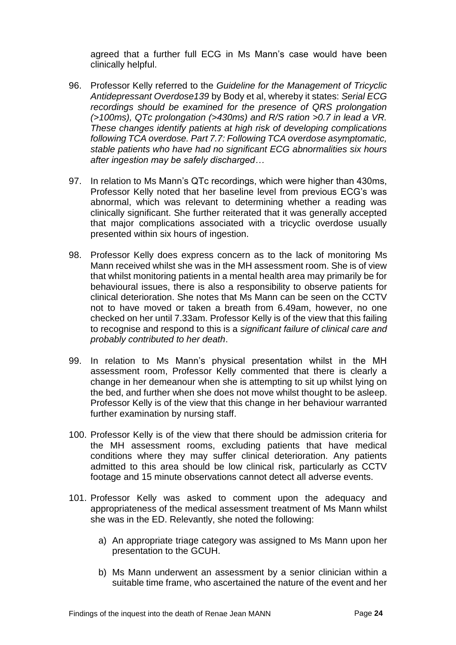agreed that a further full ECG in Ms Mann's case would have been clinically helpful.

- 96. Professor Kelly referred to the *Guideline for the Management of Tricyclic Antidepressant Overdose139* by Body et al, whereby it states: *Serial ECG recordings should be examined for the presence of QRS prolongation (>100ms), QTc prolongation (>430ms) and R/S ration >0.7 in lead a VR. These changes identify patients at high risk of developing complications following TCA overdose. Part 7.7: Following TCA overdose asymptomatic, stable patients who have had no significant ECG abnormalities six hours after ingestion may be safely discharged…*
- 97. In relation to Ms Mann's QTc recordings, which were higher than 430ms, Professor Kelly noted that her baseline level from previous ECG's was abnormal, which was relevant to determining whether a reading was clinically significant. She further reiterated that it was generally accepted that major complications associated with a tricyclic overdose usually presented within six hours of ingestion.
- 98. Professor Kelly does express concern as to the lack of monitoring Ms Mann received whilst she was in the MH assessment room. She is of view that whilst monitoring patients in a mental health area may primarily be for behavioural issues, there is also a responsibility to observe patients for clinical deterioration. She notes that Ms Mann can be seen on the CCTV not to have moved or taken a breath from 6.49am, however, no one checked on her until 7.33am. Professor Kelly is of the view that this failing to recognise and respond to this is a *significant failure of clinical care and probably contributed to her death*.
- 99. In relation to Ms Mann's physical presentation whilst in the MH assessment room, Professor Kelly commented that there is clearly a change in her demeanour when she is attempting to sit up whilst lying on the bed, and further when she does not move whilst thought to be asleep. Professor Kelly is of the view that this change in her behaviour warranted further examination by nursing staff.
- 100. Professor Kelly is of the view that there should be admission criteria for the MH assessment rooms, excluding patients that have medical conditions where they may suffer clinical deterioration. Any patients admitted to this area should be low clinical risk, particularly as CCTV footage and 15 minute observations cannot detect all adverse events.
- 101. Professor Kelly was asked to comment upon the adequacy and appropriateness of the medical assessment treatment of Ms Mann whilst she was in the ED. Relevantly, she noted the following:
	- a) An appropriate triage category was assigned to Ms Mann upon her presentation to the GCUH.
	- b) Ms Mann underwent an assessment by a senior clinician within a suitable time frame, who ascertained the nature of the event and her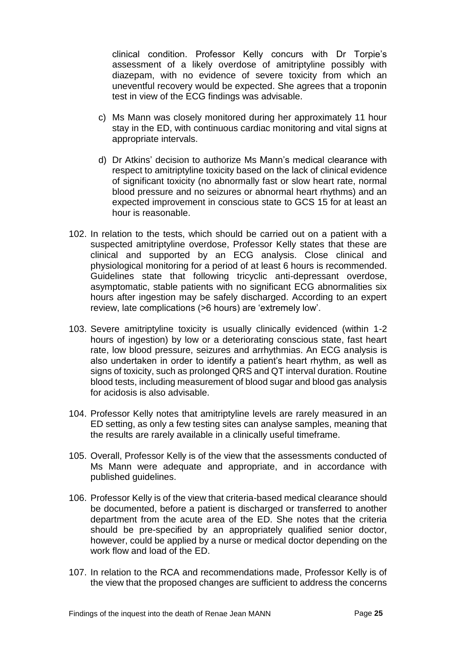clinical condition. Professor Kelly concurs with Dr Torpie's assessment of a likely overdose of amitriptyline possibly with diazepam, with no evidence of severe toxicity from which an uneventful recovery would be expected. She agrees that a troponin test in view of the ECG findings was advisable.

- c) Ms Mann was closely monitored during her approximately 11 hour stay in the ED, with continuous cardiac monitoring and vital signs at appropriate intervals.
- d) Dr Atkins' decision to authorize Ms Mann's medical clearance with respect to amitriptyline toxicity based on the lack of clinical evidence of significant toxicity (no abnormally fast or slow heart rate, normal blood pressure and no seizures or abnormal heart rhythms) and an expected improvement in conscious state to GCS 15 for at least an hour is reasonable.
- 102. In relation to the tests, which should be carried out on a patient with a suspected amitriptyline overdose, Professor Kelly states that these are clinical and supported by an ECG analysis. Close clinical and physiological monitoring for a period of at least 6 hours is recommended. Guidelines state that following tricyclic anti-depressant overdose, asymptomatic, stable patients with no significant ECG abnormalities six hours after ingestion may be safely discharged. According to an expert review, late complications (>6 hours) are 'extremely low'.
- 103. Severe amitriptyline toxicity is usually clinically evidenced (within 1-2 hours of ingestion) by low or a deteriorating conscious state, fast heart rate, low blood pressure, seizures and arrhythmias. An ECG analysis is also undertaken in order to identify a patient's heart rhythm, as well as signs of toxicity, such as prolonged QRS and QT interval duration. Routine blood tests, including measurement of blood sugar and blood gas analysis for acidosis is also advisable.
- 104. Professor Kelly notes that amitriptyline levels are rarely measured in an ED setting, as only a few testing sites can analyse samples, meaning that the results are rarely available in a clinically useful timeframe.
- 105. Overall, Professor Kelly is of the view that the assessments conducted of Ms Mann were adequate and appropriate, and in accordance with published guidelines.
- 106. Professor Kelly is of the view that criteria-based medical clearance should be documented, before a patient is discharged or transferred to another department from the acute area of the ED. She notes that the criteria should be pre-specified by an appropriately qualified senior doctor, however, could be applied by a nurse or medical doctor depending on the work flow and load of the ED.
- 107. In relation to the RCA and recommendations made, Professor Kelly is of the view that the proposed changes are sufficient to address the concerns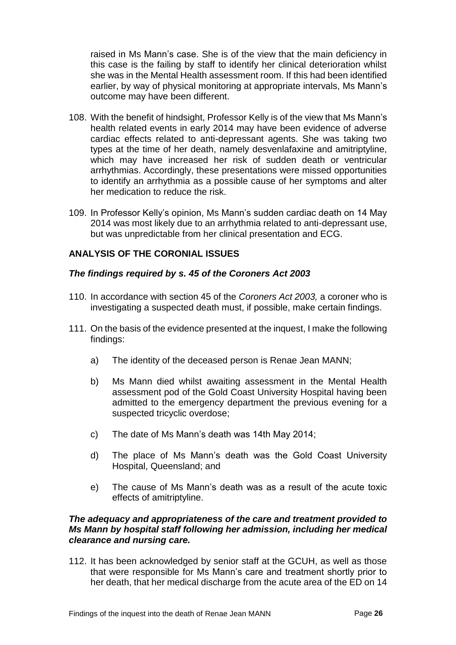raised in Ms Mann's case. She is of the view that the main deficiency in this case is the failing by staff to identify her clinical deterioration whilst she was in the Mental Health assessment room. If this had been identified earlier, by way of physical monitoring at appropriate intervals, Ms Mann's outcome may have been different.

- 108. With the benefit of hindsight, Professor Kelly is of the view that Ms Mann's health related events in early 2014 may have been evidence of adverse cardiac effects related to anti-depressant agents. She was taking two types at the time of her death, namely desvenlafaxine and amitriptyline, which may have increased her risk of sudden death or ventricular arrhythmias. Accordingly, these presentations were missed opportunities to identify an arrhythmia as a possible cause of her symptoms and alter her medication to reduce the risk.
- 109. In Professor Kelly's opinion, Ms Mann's sudden cardiac death on 14 May 2014 was most likely due to an arrhythmia related to anti-depressant use, but was unpredictable from her clinical presentation and ECG.

# <span id="page-26-0"></span>**ANALYSIS OF THE CORONIAL ISSUES**

# <span id="page-26-1"></span>*The findings required by s. 45 of the Coroners Act 2003*

- 110. In accordance with section 45 of the *Coroners Act 2003,* a coroner who is investigating a suspected death must, if possible, make certain findings.
- 111. On the basis of the evidence presented at the inquest, I make the following findings:
	- a) The identity of the deceased person is Renae Jean MANN;
	- b) Ms Mann died whilst awaiting assessment in the Mental Health assessment pod of the Gold Coast University Hospital having been admitted to the emergency department the previous evening for a suspected tricyclic overdose;
	- c) The date of Ms Mann's death was 14th May 2014;
	- d) The place of Ms Mann's death was the Gold Coast University Hospital, Queensland; and
	- e) The cause of Ms Mann's death was as a result of the acute toxic effects of amitriptyline.

# *The adequacy and appropriateness of the care and treatment provided to Ms Mann by hospital staff following her admission, including her medical clearance and nursing care.*

112. It has been acknowledged by senior staff at the GCUH, as well as those that were responsible for Ms Mann's care and treatment shortly prior to her death, that her medical discharge from the acute area of the ED on 14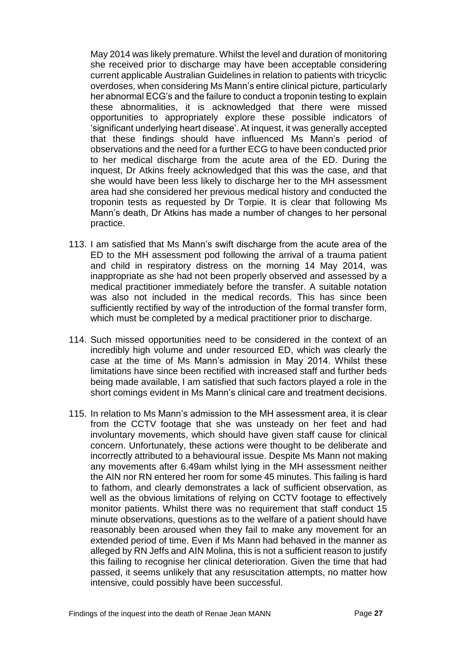May 2014 was likely premature. Whilst the level and duration of monitoring she received prior to discharge may have been acceptable considering current applicable Australian Guidelines in relation to patients with tricyclic overdoses, when considering Ms Mann's entire clinical picture, particularly her abnormal ECG's and the failure to conduct a troponin testing to explain these abnormalities, it is acknowledged that there were missed opportunities to appropriately explore these possible indicators of 'significant underlying heart disease'. At inquest, it was generally accepted that these findings should have influenced Ms Mann's period of observations and the need for a further ECG to have been conducted prior to her medical discharge from the acute area of the ED. During the inquest, Dr Atkins freely acknowledged that this was the case, and that she would have been less likely to discharge her to the MH assessment area had she considered her previous medical history and conducted the troponin tests as requested by Dr Torpie. It is clear that following Ms Mann's death, Dr Atkins has made a number of changes to her personal practice.

- 113. I am satisfied that Ms Mann's swift discharge from the acute area of the ED to the MH assessment pod following the arrival of a trauma patient and child in respiratory distress on the morning 14 May 2014, was inappropriate as she had not been properly observed and assessed by a medical practitioner immediately before the transfer. A suitable notation was also not included in the medical records. This has since been sufficiently rectified by way of the introduction of the formal transfer form, which must be completed by a medical practitioner prior to discharge.
- 114. Such missed opportunities need to be considered in the context of an incredibly high volume and under resourced ED, which was clearly the case at the time of Ms Mann's admission in May 2014. Whilst these limitations have since been rectified with increased staff and further beds being made available, I am satisfied that such factors played a role in the short comings evident in Ms Mann's clinical care and treatment decisions.
- 115. In relation to Ms Mann's admission to the MH assessment area, it is clear from the CCTV footage that she was unsteady on her feet and had involuntary movements, which should have given staff cause for clinical concern. Unfortunately, these actions were thought to be deliberate and incorrectly attributed to a behavioural issue. Despite Ms Mann not making any movements after 6.49am whilst lying in the MH assessment neither the AIN nor RN entered her room for some 45 minutes. This failing is hard to fathom, and clearly demonstrates a lack of sufficient observation, as well as the obvious limitations of relying on CCTV footage to effectively monitor patients. Whilst there was no requirement that staff conduct 15 minute observations, questions as to the welfare of a patient should have reasonably been aroused when they fail to make any movement for an extended period of time. Even if Ms Mann had behaved in the manner as alleged by RN Jeffs and AIN Molina, this is not a sufficient reason to justify this failing to recognise her clinical deterioration. Given the time that had passed, it seems unlikely that any resuscitation attempts, no matter how intensive, could possibly have been successful.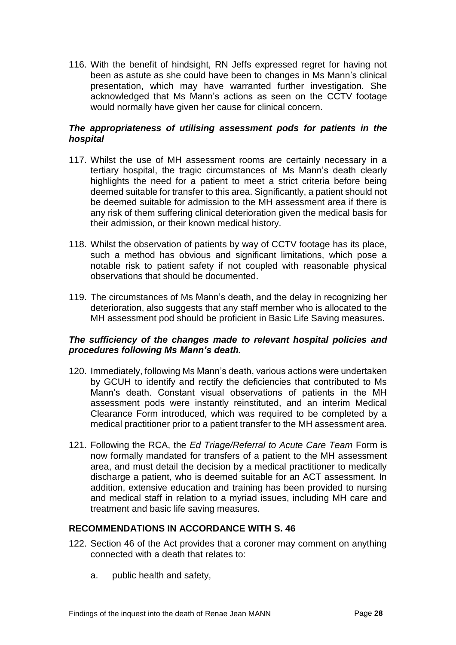116. With the benefit of hindsight, RN Jeffs expressed regret for having not been as astute as she could have been to changes in Ms Mann's clinical presentation, which may have warranted further investigation. She acknowledged that Ms Mann's actions as seen on the CCTV footage would normally have given her cause for clinical concern.

# *The appropriateness of utilising assessment pods for patients in the hospital*

- 117. Whilst the use of MH assessment rooms are certainly necessary in a tertiary hospital, the tragic circumstances of Ms Mann's death clearly highlights the need for a patient to meet a strict criteria before being deemed suitable for transfer to this area. Significantly, a patient should not be deemed suitable for admission to the MH assessment area if there is any risk of them suffering clinical deterioration given the medical basis for their admission, or their known medical history.
- 118. Whilst the observation of patients by way of CCTV footage has its place, such a method has obvious and significant limitations, which pose a notable risk to patient safety if not coupled with reasonable physical observations that should be documented.
- 119. The circumstances of Ms Mann's death, and the delay in recognizing her deterioration, also suggests that any staff member who is allocated to the MH assessment pod should be proficient in Basic Life Saving measures.

# *The sufficiency of the changes made to relevant hospital policies and procedures following Ms Mann's death.*

- 120. Immediately, following Ms Mann's death, various actions were undertaken by GCUH to identify and rectify the deficiencies that contributed to Ms Mann's death. Constant visual observations of patients in the MH assessment pods were instantly reinstituted, and an interim Medical Clearance Form introduced, which was required to be completed by a medical practitioner prior to a patient transfer to the MH assessment area.
- 121. Following the RCA, the *Ed Triage/Referral to Acute Care Team* Form is now formally mandated for transfers of a patient to the MH assessment area, and must detail the decision by a medical practitioner to medically discharge a patient, who is deemed suitable for an ACT assessment. In addition, extensive education and training has been provided to nursing and medical staff in relation to a myriad issues, including MH care and treatment and basic life saving measures.

# **RECOMMENDATIONS IN ACCORDANCE WITH S. 46**

- 122. Section 46 of the Act provides that a coroner may comment on anything connected with a death that relates to:
	- a. public health and safety,